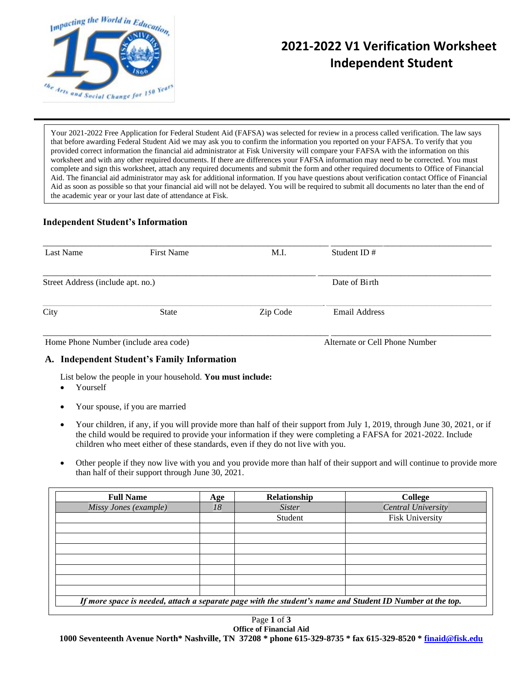

# **2021-2022 V1 Verification Worksheet Independent Student**

Your 2021-2022 Free Application for Federal Student Aid (FAFSA) was selected for review in a process called verification. The law says that before awarding Federal Student Aid we may ask you to confirm the information you reported on your FAFSA. To verify that you provided correct information the financial aid administrator at Fisk University will compare your FAFSA with the information on this worksheet and with any other required documents. If there are differences your FAFSA information may need to be corrected. You must complete and sign this worksheet, attach any required documents and submit the form and other required documents to Office of Financial Aid. The financial aid administrator may ask for additional information. If you have questions about verification contact Office of Financial Aid as soon as possible so that your financial aid will not be delayed. You will be required to submit all documents no later than the end of the academic year or your last date of attendance at Fisk.

# **Independent Student's Information**

| Last Name                             | <b>First Name</b> | M.I.     | Student ID $#$                 |  |
|---------------------------------------|-------------------|----------|--------------------------------|--|
| Street Address (include apt. no.)     |                   |          | Date of Birth                  |  |
| City                                  | <b>State</b>      | Zip Code | <b>Email Address</b>           |  |
| Home Phone Number (include area code) |                   |          | Alternate or Cell Phone Number |  |

## **A. Independent Student's Family Information**

List below the people in your household. **You must include:**

- Yourself
- Your spouse, if you are married
- Your children, if any, if you will provide more than half of their support from July 1, 2019, through June 30, 2021, or if the child would be required to provide your information if they were completing a FAFSA for 2021-2022. Include children who meet either of these standards, even if they do not live with you.
- Other people if they now live with you and you provide more than half of their support and will continue to provide more than half of their support through June 30, 2021.

| <b>Full Name</b>                                                                                          | <b>Age</b> | Relationship  | College                |  |  |  |
|-----------------------------------------------------------------------------------------------------------|------------|---------------|------------------------|--|--|--|
| Missy Jones (example)                                                                                     | 18         | <b>Sister</b> | Central University     |  |  |  |
|                                                                                                           |            | Student       | <b>Fisk University</b> |  |  |  |
|                                                                                                           |            |               |                        |  |  |  |
|                                                                                                           |            |               |                        |  |  |  |
|                                                                                                           |            |               |                        |  |  |  |
|                                                                                                           |            |               |                        |  |  |  |
|                                                                                                           |            |               |                        |  |  |  |
|                                                                                                           |            |               |                        |  |  |  |
|                                                                                                           |            |               |                        |  |  |  |
| If more space is needed, attach a separate page with the student's name and Student ID Number at the top. |            |               |                        |  |  |  |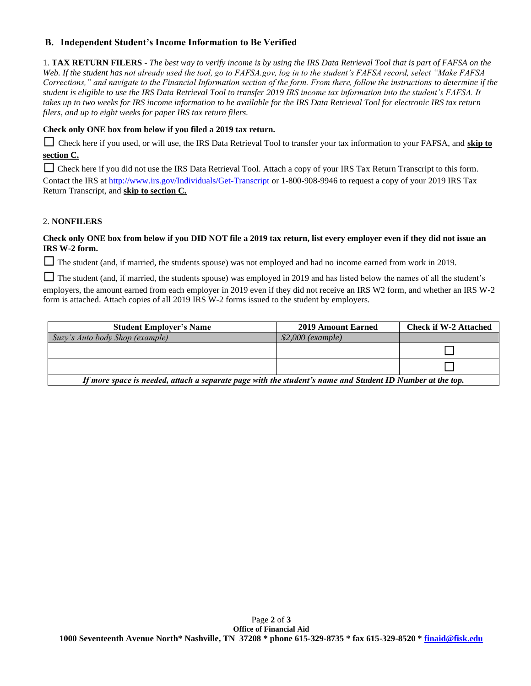# **B. Independent Student's Income Information to Be Verified**

1. **TAX RETURN FILERS** - *The best way to verify income is by using the IRS Data Retrieval Tool that is part of FAFSA on the Web. If the student has not already used the tool, go to FAFSA.gov, log in to the student's FAFSA record, select "Make FAFSA Corrections," and navigate to the Financial Information section of the form. From there, follow the instructions to determine if the student is eligible to use the IRS Data Retrieval Tool to transfer 2019 IRS income tax information into the student's FAFSA. It takes up to two weeks for IRS income information to be available for the IRS Data Retrieval Tool for electronic IRS tax return filers, and up to eight weeks for paper IRS tax return filers.* 

## **Check only ONE box from below if you filed a 2019 tax return.**

□ Check here if you used, or will use, the IRS Data Retrieval Tool to transfer your tax information to your FAFSA, and **skip to section C.**

□ Check here if you did not use the IRS Data Retrieval Tool. Attach a copy of your IRS Tax Return Transcript to this form. Contact the IRS a[t http://www.irs.gov/Individuals/Get-Transcript](http://www.irs.gov/Individuals/Get-Transcript) or 1-800-908-9946 to request a copy of your 2019 IRS Tax Return Transcript, and **skip to section C.**

## 2. **NONFILERS**

#### **Check only ONE box from below if you DID NOT file a 2019 tax return, list every employer even if they did not issue an IRS W-2 form.**

□ The student (and, if married, the students spouse) was not employed and had no income earned from work in 2019.

□ The student (and, if married, the students spouse) was employed in 2019 and has listed below the names of all the student's employers, the amount earned from each employer in 2019 even if they did not receive an IRS W2 form, and whether an IRS W-2 form is attached. Attach copies of all 2019 IRS W-2 forms issued to the student by employers.

| <b>Student Employer's Name</b>                                                                            | 2019 Amount Earned | <b>Check if W-2 Attached</b> |  |  |
|-----------------------------------------------------------------------------------------------------------|--------------------|------------------------------|--|--|
| Suzy's Auto body Shop (example)                                                                           | $$2,000$ (example) |                              |  |  |
|                                                                                                           |                    |                              |  |  |
|                                                                                                           |                    |                              |  |  |
| If more space is needed, attach a separate page with the student's name and Student ID Number at the top. |                    |                              |  |  |